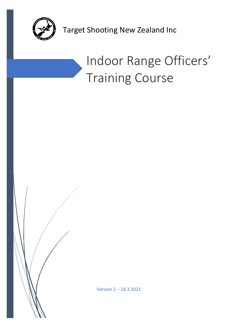

Target Shooting New Zealand Inc

# Indoor Range Officers' Training Course

Version 2 – 18.3.2021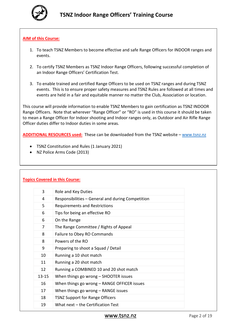

# **AIM of this Course:**

- 1. To teach TSNZ Members to become effective and safe Range Officers for INDOOR ranges and events.
- 2. To certify TSNZ Members as TSNZ Indoor Range Officers, following successful completion of an Indoor Range Officers' Certification Test.
- 3. To enable trained and certified Range Officers to be used on TSNZ ranges and during TSNZ events. This is to ensure proper safety measures and TSNZ Rules are followed at all times and events are held in a fair and equitable manner no matter the Club, Association or location.

This course will provide information to enable TSNZ Members to gain certification as TSNZ INDOOR Range Officers. Note that wherever "Range Officer" or "RO" is used in this course it should be taken to mean a Range Officer for Indoor shooting and Indoor ranges only, as Outdoor and Air Rifle Range Officer duties differ to Indoor duties in some areas.

**ADDITIONAL RESOURCES used:** These can be downloaded from the TSNZ website – [www.tsnz.nz](http://www.tsnz.nz/)

- TSNZ Constitution and Rules (1 January 2021)
- NZ Police Arms Code (2013)

|           | <b>Topics Covered in this Course:</b>             |
|-----------|---------------------------------------------------|
| 3         | Role and Key Duties                               |
| 4         | Responsibilities - General and during Competition |
| 5         | <b>Requirements and Restrictions</b>              |
| 6         | Tips for being an effective RO                    |
| 6         | On the Range                                      |
| 7         | The Range Committee / Rights of Appeal            |
| 8         | Failure to Obey RO Commands                       |
| 8         | Powers of the RO                                  |
| 9         | Preparing to shoot a Squad / Detail               |
| 10        | Running a 10 shot match                           |
| 11        | Running a 20 shot match                           |
| 12        | Running a COMBINED 10 and 20 shot match           |
| $13 - 15$ | When things go wrong $-$ SHOOTER issues           |
| 16        | When things go wrong - RANGE OFFICER issues       |
| 17        | When things go wrong – RANGE issues               |
| 18        | <b>TSNZ Support for Range Officers</b>            |
| 19        | What next - the Certification Test                |

# [www.tsnz.nz](http://www.tsnz.nz/) Page 2 of 19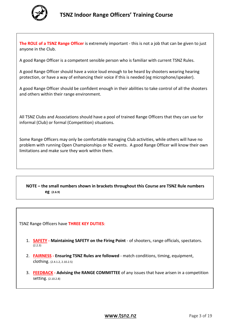

**The ROLE of a TSNZ Range Officer** is extremely important - this is not a job that can be given to just anyone in the Club.

A good Range Officer is a competent sensible person who is familiar with current TSNZ Rules.

A good Range Officer should have a voice loud enough to be heard by shooters wearing hearing protection, or have a way of enhancing their voice if this is needed (eg microphone/speaker).

A good Range Officer should be confident enough in their abilities to take control of all the shooters and others within their range environment.

All TSNZ Clubs and Associations should have a pool of trained Range Officers that they can use for informal (Club) or formal (Competition) situations.

Some Range Officers may only be comfortable managing Club activities, while others will have no problem with running Open Championships or NZ events. A good Range Officer will know their own limitations and make sure they work within them.

# **NOTE – the small numbers shown in brackets throughout this Course are TSNZ Rule numbers eg (2.6.9)**

TSNZ Range Officers have **THREE KEY DUTIES**:

- 1. **SAFETY - Maintaining SAFETY on the Firing Point** of shooters, range officials, spectators. (2.2.3)
- 2. **FAIRNESS - Ensuring TSNZ Rules are followed** match conditions, timing, equipment, clothing. (2.4.1.2, 2.10.2.5)
- 3. **FEEDBACK - Advising the RANGE COMMITTEE** of any issues that have arisen in a competition setting. (2.10.2.8)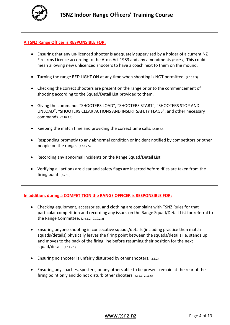

# **A TSNZ Range Officer is RESPONSIBLE FOR:**

- Ensuring that any un-licenced shooter is adequately supervised by a holder of a current NZ Firearms Licence according to the Arms Act 1983 and any amendments (2.10.2.2). This could mean allowing new unlicenced shooters to have a coach next to them on the mound.
- Turning the range RED LIGHT ON at any time when shooting is NOT permitted. (2.10.2.3)
- Checking the correct shooters are present on the range prior to the commencement of shooting according to the Squad/Detail List provided to them.
- Giving the commands "SHOOTERS LOAD", "SHOOTERS START", "SHOOTERS STOP AND UNLOAD", "SHOOTERS CLEAR ACTIONS AND INSERT SAFETY FLAGS", and other necessary commands. (2.10.2.4)
- Keeping the match time and providing the correct time calls. (2.10.2.5)
- Responding promptly to any abnormal condition or incident notified by competitors or other people on the range. (2.10.2.5)
- Recording any abnormal incidents on the Range Squad/Detail List.
- Verifying all actions are clear and safety flags are inserted before rifles are taken from the firing point. (2.2.13)

# **In addition, during a COMPETITION the RANGE OFFICER is RESPONSIBLE FOR:**

- Checking equipment, accessories, and clothing are complaint with TSNZ Rules for that particular competition and recording any issues on the Range Squad/Detail List for referral to the Range Committee. (2.4.1.2, 2.10.2.8)
- Ensuring anyone shooting in consecutive squads/details (including practice then match squads/details) physically leaves the firing point between the squads/details i.e. stands up and moves to the back of the firing line before resuming their position for the next squad/detail. (2.11.7.1)
- Ensuring no shooter is unfairly disturbed by other shooters. (2.1.2)
- Ensuring any coaches, spotters, or any others able to be present remain at the rear of the firing point only and do not disturb other shooters. (2.2.1, 2.11.6)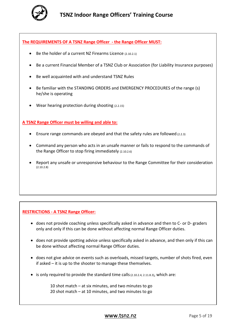

**The REQUIREMENTS OF A TSNZ Range Officer - the Range Officer MUST:**

- Be the holder of a current NZ Firearms Licence (2.10.2.1)
- Be a current Financial Member of a TSNZ Club or Association (for Liability Insurance purposes)
- Be well acquainted with and understand TSNZ Rules
- Be familiar with the STANDING ORDERS and EMERGENCY PROCEDURES of the range (s) he/she is operating
- Wear hearing protection during shooting  $(2.2.15)$

#### **A TSNZ Range Officer must be willing and able to:**

- Ensure range commands are obeyed and that the safety rules are followed (2.2.3)
- Command any person who acts in an unsafe manner or fails to respond to the commands of the Range Officer to stop firing immediately (2.10.2.6)
- Report any unsafe or unresponsive behaviour to the Range Committee for their consideration (2.10.2.8)

# **RESTRICTIONS - A TSNZ Range Officer:**

- does not provide coaching unless specifically asked in advance and then to C- or D- graders only and only if this can be done without affecting normal Range Officer duties.
- does not provide spotting advice unless specifically asked in advance, and then only if this can be done without affecting normal Range Officer duties.
- does not give advice on events such as overloads, missed targets, number of shots fired, even if asked – it is up to the shooter to manage these themselves.
- $\bullet$  is only required to provide the standard time calls  $(2.10.2.4, 2.11.8.3)$ , which are:

10 shot match – at six minutes, and two minutes to go 20 shot match – at 10 minutes, and two minutes to go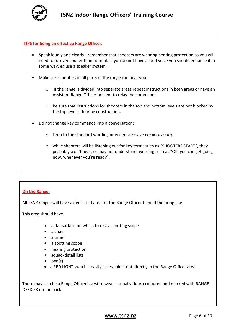

# **TIPS for being an effective Range Officer:**

- Speak loudly and clearly remember that shooters are wearing hearing protection so you will need to be even louder than normal. If you do not have a loud voice you should enhance it in some way, eg use a speaker system.
- Make sure shooters in all parts of the range can hear you:
	- $\circ$  If the range is divided into separate areas repeat instructions in both areas or have an Assistant Range Officer present to relay the commands.
	- $\circ$  Be sure that instructions for shooters in the top and bottom levels are not blocked by the top level's flooring construction.
- Do not change key commands into a conversation:
	- $\circ$  keep to the standard wording provided (2.2.112, 2.2.13, 2.10.2.4, 2.11.8.3).
	- $\circ$  while shooters will be listening out for key terms such as "SHOOTERS START", they probably won't hear, or may not understand, wording such as "OK, you can get going now, whenever you're ready".

# **On the Range:**

All TSNZ ranges will have a dedicated area for the Range Officer behind the firing line.

This area should have:

- a flat surface on which to rest a spotting scope
- a chair
- a timer
- a spotting scope
- hearing protection
- squad/detail lists
- pen(s).
- a RED LIGHT switch easily accessible if not directly in the Range Officer area.

There may also be a Range Officer's vest to wear – usually fluoro coloured and marked with RANGE OFFICER on the back.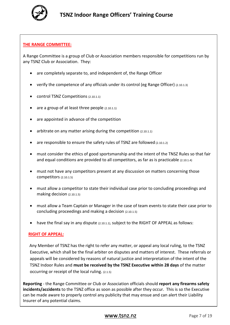

# **THE RANGE COMMITTEE:**

A Range Committee is a group of Club or Association members responsible for competitions run by any TSNZ Club or Association. They:

- are completely separate to, and independent of, the Range Officer
- verify the competence of any officials under its control (eg Range Officer)  $(2.10.1.3)$
- control TSNZ Competitions (2.10.1.1)
- are a group of at least three people  $(2.10.1.1)$
- are appointed in advance of the competition
- arbitrate on any matter arising during the competition (2.10.1.1)
- are responsible to ensure the safety rules of TSNZ are followed (2.10.1.2)
- must consider the ethics of good sportsmanship and the intent of the TNSZ Rules so that fair and equal conditions are provided to all competitors, as far as is practicable (2.10.1.4)
- must not have any competitors present at any discussion on matters concerning those competitors (2.10.1.5)
- must allow a competitor to state their individual case prior to concluding proceedings and making decision (2.10.1.5)
- must allow a Team Captain or Manager in the case of team events to state their case prior to concluding proceedings and making a decision (2.10.1.5)
- have the final say in any dispute (2.10.1.1), subject to the RIGHT OF APPEAL as follows:

# **RIGHT OF APPEAL:**

Any Member of TSNZ has the right to refer any matter, or appeal any local ruling, to the TSNZ Executive, which shall be the final arbiter on disputes and matters of interest. These referrals or appeals will be considered by reasons of natural justice and interpretation of the intent of the TSNZ Indoor Rules and **must be received by the TSNZ Executive within 28 days** of the matter occurring or receipt of the local ruling. (2.1.5)

**Reporting** - the Range Committee or Club or Association officials should **report any firearms safety incidents/accidents** to the TSNZ office as soon as possible after they occur. This is so the Executive can be made aware to properly control any publicity that may ensue and can alert their Liability Insurer of any potential claims.

# [www.tsnz.nz](http://www.tsnz.nz/) Page 7 of 19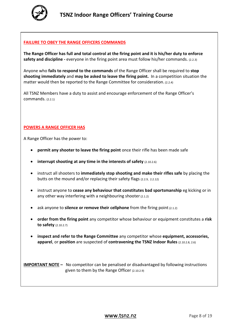

# **FAILURE TO OBEY THE RANGE OFFICERS COMMANDS**

**The Range Officer has full and total control at the firing point and it is his/her duty to enforce safety and discipline -** everyone in the firing point area must follow his/her commands. (2.2.3)

Anyone who **fails to respond to the commands** of the Range Officer shall be required to **stop shooting immediately** and **may be asked to leave the firing point.** In a competition situation the matter would then be reported to the Range Committee for consideration. (2.2.4)

All TSNZ Members have a duty to assist and encourage enforcement of the Range Officer's commands. (2.2.1)

# **POWERS A RANGE OFFICER HAS**

A Range Officer has the power to:

- **permit any shooter to leave the firing point** once their rifle has been made safe
- **interrupt shooting at any time in the interests of safety** (2.10.2.6)
- instruct all shooters to **immediately stop shooting and make their rifles safe** by placing the butts on the mound and/or replacing their safety flags (2.2.9, 2.2.12)
- instruct anyone to **cease any behaviour that constitutes bad sportsmanship** eg kicking or in any other way interfering with a neighbouring shooter (2.1.2)
- ask anyone to **silence or remove their cellphone** from the firing point (2.1.2)
- **order from the firing point** any competitor whose behaviour or equipment constitutes a **risk to safety** (2.10.2.7)
- **inspect and refer to the Range Committee** any competitor whose **equipment, accessories, apparel**, or **position** are suspected of **contravening the TSNZ Indoor Rules** (2.10.2.8, 2.6)

**IMPORTANT NOTE** – No competitor can be penalised or disadvantaged by following instructions given to them by the Range Officer (2.10.2.9)

# **WWW.tSNZ.NZ** Page 8 of 19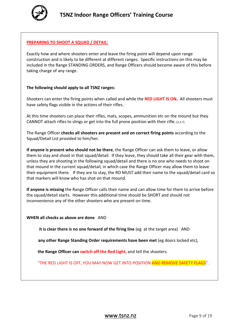

# **PREPARING TO SHOOT A SQUAD / DETAIL:**

Exactly how and where shooters enter and leave the firing point will depend upon range construction and is likely to be different at different ranges. Specific instructions on this may be included in the Range STANDING ORDERS, and Range Officers should become aware of this before taking charge of any range.

#### **The following should apply to all TSNZ ranges:**

Shooters can enter the firing points when called and while the **RED LIGHT IS ON.** All shooters must have safety flags visible in the actions of their rifles.

At this time shooters can place their rifles, mats, scopes, ammunition etc on the mound but they CANNOT attach rifles to slings or get into the full prone position with their rifle. (2.2.7)

The Range Officer **checks all shooters are present and on correct firing points** according to the Squad/Detail List provided to him/her.

**If anyone is present who should not be there**, the Range Officer can ask them to leave, or allow them to stay and shoot in that squad/detail. If they leave, they should take all their gear with them, unless they are shooting in the following squad/detail and there is no one who needs to shoot on that mound in the current squad/detail, in which case the Range Officer may allow them to leave their equipment there. If they are to stay, the RO MUST add their name to the squad/detail card so that markers will know who has shot on that mound.

**If anyone is missing** the Range Officer calls their name and can allow time for them to arrive before the squad/detail starts. However this additional time should be SHORT and should not inconvenience any of the other shooters who are present on time.

**WHEN all checks as above are done** AND

**it is clear there is no one forward of the firing line** (eg at the target area) AND

 **any other Range Standing Order requirements have been met** (eg doors locked etc),

**the Range Officer can switch off the Red Light,** and tell the shooters

"THE RED LIGHT IS OFF, YOU MAY NOW GET INTO POSITION AND REMOVE SAFETY FLAGS".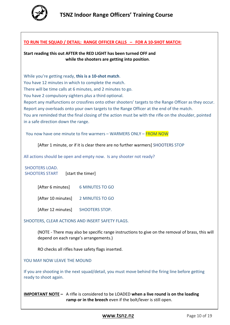

#### **TO RUN THE SQUAD / DETAIL: RANGE OFFICER CALLS – FOR A 10-SHOT MATCH:**

**Start reading this out AFTER the RED LIGHT has been turned OFF and while the shooters are getting into position**.

While you're getting ready, **this is a 10-shot match**. You have 12 minutes in which to complete the match. There will be time calls at 6 minutes, and 2 minutes to go. You have 2 compulsory sighters plus a third optional. Report any malfunctions or crossfires onto other shooters' targets to the Range Officer as they occur. Report any overloads onto your own targets to the Range Officer at the end of the match. You are reminded that the final closing of the action must be with the rifle on the shoulder, pointed in a safe direction down the range.

You now have one minute to fire warmers – WARMERS ONLY – FROM NOW

[After 1 minute, or if it is clear there are no further warmers] SHOOTERS STOP

All actions should be open and empty now. Is any shooter not ready?

SHOOTERS LOAD. SHOOTERS START [start the timer]

| [After 6 minutes]  | <b>6 MINUTES TO GO</b> |
|--------------------|------------------------|
| [After 10 minutes] | 2 MINUTES TO GO        |
| [After 12 minutes] | SHOOTERS STOP.         |

SHOOTERS, CLEAR ACTIONS AND INSERT SAFETY FLAGS.

(NOTE - There may also be specific range instructions to give on the removal of brass, this will depend on each range's arrangements.)

RO checks all rifles have safety flags inserted.

YOU MAY NOW LEAVE THE MOUND

٦

If you are shooting in the next squad/detail, you must move behind the firing line before getting ready to shoot again.

**IMPORTANT NOTE –** A rifle is considered to be LOADED **when a live round is on the loading ramp or in the breech** even if the bolt/lever is still open.

[www.tsnz.nz](http://www.tsnz.nz/) Page 10 of 19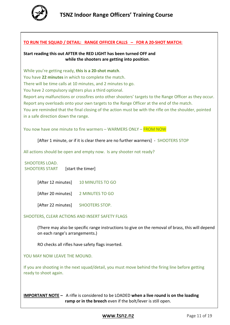

#### **TO RUN THE SQUAD / DETAIL: RANGE OFFICER CALLS – FOR A 20-SHOT MATCH:**

#### **Start reading this out AFTER the RED LIGHT has been turned OFF and while the shooters are getting into position**.

While you're getting ready, **this is a 20-shot match**. You have **22 minutes** in which to complete the match. There will be time calls at 10 minutes, and 2 minutes to go. You have 2 compulsory sighters plus a third optional. Report any malfunctions or crossfires onto other shooters' targets to the Range Officer as they occur. Report any overloads onto your own targets to the Range Officer at the end of the match. You are reminded that the final closing of the action must be with the rifle on the shoulder, pointed in a safe direction down the range.

You now have one minute to fire warmers – WARMERS ONLY – FROM NOW

[After 1 minute, or if it is clear there are no further warmers] - SHOOTERS STOP

All actions should be open and empty now. Is any shooter not ready?

SHOOTERS LOAD. SHOOTERS START [start the timer]

[After 12 minutes] 10 MINUTES TO GO

[After 20 minutes] 2 MINUTES TO GO

[After 22 minutes] SHOOTERS STOP.

# SHOOTERS, CLEAR ACTIONS AND INSERT SAFETY FLAGS

(There may also be specific range instructions to give on the removal of brass, this will depend on each range's arrangements.)

RO checks all rifles have safety flags inserted.

YOU MAY NOW LEAVE THE MOUND.

If you are shooting in the next squad/detail, you must move behind the firing line before getting ready to shoot again.

**IMPORTANT NOTE –** A rifle is considered to be LOADED **when a live round is on the loading ramp or in the breech** even if the bolt/lever is still open.

[www.tsnz.nz](http://www.tsnz.nz/) Page 11 of 19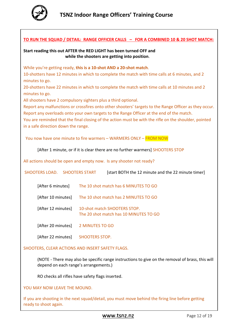

# **TO RUN THE SQUAD / DETAIL: RANGE OFFICER CALLS – FOR A COMBINED 10 & 20 SHOT MATCH:**

#### **Start reading this out AFTER the RED LIGHT has been turned OFF and while the shooters are getting into position**.

While you're getting ready, **this is a 10-shot AND a 20-shot match**.

10-shotters have 12 minutes in which to complete the match with time calls at 6 minutes, and 2 minutes to go.

20-shotters have 22 minutes in which to complete the match with time calls at 10 minutes and 2 minutes to go.

All shooters have 2 compulsory sighters plus a third optional.

Report any malfunctions or crossfires onto other shooters' targets to the Range Officer as they occur. Report any overloads onto your own targets to the Range Officer at the end of the match.

You are reminded that the final closing of the action must be with the rifle on the shoulder, pointed in a safe direction down the range.

You now have one minute to fire warmers – WARMERS ONLY – FROM NOW

[After 1 minute, or if it is clear there are no further warmers] SHOOTERS STOP

All actions should be open and empty now. Is any shooter not ready?

| SHOOTERS LOAD. SHOOTERS START | [start BOTH the 12 minute and the 22 minute timer]                     |
|-------------------------------|------------------------------------------------------------------------|
| [After 6 minutes]             | The 10 shot match has 6 MINUTES TO GO                                  |
| [After 10 minutes]            | The 10 shot match has 2 MINUTES TO GO                                  |
| [After 12 minutes]            | 10-shot match SHOOTERS STOP.<br>The 20 shot match has 10 MINUTES TO GO |
| [After 20 minutes]            | 2 MINUTES TO GO                                                        |
|                               |                                                                        |

[After 22 minutes] SHOOTERS STOP.

SHOOTERS, CLEAR ACTIONS AND INSERT SAFETY FLAGS.

(NOTE - There may also be specific range instructions to give on the removal of brass, this will depend on each range's arrangements.)

RO checks all rifles have safety flags inserted.

YOU MAY NOW LEAVE THE MOUND.

If you are shooting in the next squad/detail, you must move behind the firing line before getting ready to shoot again.

[www.tsnz.nz](http://www.tsnz.nz/) Page 12 of 19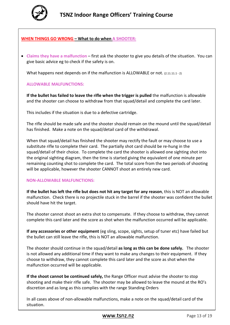

# **WHEN THINGS GO WRONG – What to do when A SHOOTER:**

• **Claims they have a malfunction** – first ask the shooter to give you details of the situation. You can give basic advice eg to check if the safety is on.

What happens next depends on if the malfunction is ALLOWABLE or not. (2.11.11.1 - 2)

#### **ALLOWABLE MALFUNCTIONS:**

**If the bullet has failed to leave the rifle when the trigger is pulled** the malfunction is allowable and the shooter can choose to withdraw from that squad/detail and complete the card later.

This includes if the situation is due to a defective cartridge.

The rifle should be made safe and the shooter should remain on the mound until the squad/detail has finished. Make a note on the squad/detail card of the withdrawal.

When that squad/detail has finished the shooter may rectify the fault or may choose to use a substitute rifle to complete their card. The partially shot card should be re-hung in the squad/detail of their choice. To complete the card the shooter is allowed one sighting shot into the original sighting diagram, then the time is started giving the equivalent of one minute per remaining counting shot to complete the card. The total score from the two periods of shooting will be applicable, however the shooter CANNOT shoot an entirely new card.

#### **NON-ALLOWABLE MALFUNCTIONS:**

**If the bullet has left the rifle but does not hit any target for any reason**, this is NOT an allowable malfunction. Check there is no projectile stuck in the barrel if the shooter was confident the bullet should have hit the target.

The shooter cannot shoot an extra shot to compensate. If they choose to withdraw, they cannot complete this card later and the score as shot when the malfunction occurred will be applicable.

**If any accessories or other equipment** (eg sling, scope, sights, setup of tuner etc) have failed but the bullet can still leave the rifle, this is NOT an allowable malfunction.

The shooter should continue in the squad/detail **as long as this can be done safely.** The shooter is not allowed any additional time if they want to make any changes to their equipment. If they choose to withdraw, they cannot complete this card later and the score as shot when the malfunction occurred will be applicable.

**If the shoot cannot be continued safely,** the Range Officer must advise the shooter to stop shooting and make their rifle safe. The shooter may be allowed to leave the mound at the RO's discretion and as long as this complies with the range Standing Orders

In all cases above of non-allowable malfunctions, make a note on the squad/detail card of the situation.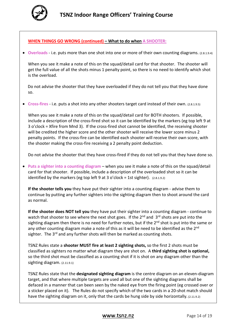

#### **WHEN THINGS GO WRONG (continued) – What to do when A SHOOTER:**

• **Overloads** - i.e. puts more than one shot into one or more of their own counting diagrams. (2.8.1.9.4)

When you see it make a note of this on the squad/detail card for that shooter. The shooter will get the full value of all the shots minus 1 penalty point, so there is no need to identify which shot is the overload.

 Do not advise the shooter that they have overloaded if they do not tell you that they have done so.

• **Cross-fires** - i.e. puts a shot into any other shooters target card instead of their own. (2.8.1.9.5)

When you see it make a note of this on the squad/detail card for BOTH shooters. If possible, include a description of the cross-fired shot so it can be identified by the markers (eg top left 9 at 3 o'clock = Xfire from Mnd 3). If the cross-fired shot cannot be identified, the receiving shooter will be credited the higher score and the other shooter will receive the lower score minus 2 penalty points. If the cross-fire can be identified each shooter will receive their own score, with the shooter making the cross-fire receiving a 2 penalty point deduction.

Do not advise the shooter that they have cross-fired if they do not tell you that they have done so.

• **Puts a sighter into a counting diagram** – when you see it make a note of this on the squad/detail card for that shooter. If possible, include a description of the overloaded shot so it can be identified by the markers (eg top left 9 at 3 o'clock = 1st sighter).  $(2.8.1.9.2)$ 

**If the shooter tells you** they have put their sighter into a counting diagram - advise them to continue by putting any further sighters into the sighting diagram then to shoot around the card as normal.

**If the shooter does NOT tell you** they have put their sighter into a counting diagram - continue to watch that shooter to see where the next shot goes. If the  $2^{nd}$  and  $3^{rd}$  shots are put into the sighting diagram then there is no need for further notes, but if the 2<sup>nd</sup> shot is put into the same or any other counting diagram make a note of this as it will be need to be identified as the 2<sup>nd</sup> sighter. The 3<sup>rd</sup> and any further shots will then be marked as counting shots.

TSNZ Rules state a **shooter MUST fire at least 2 sighting shots,** so the first 2 shots must be classified as sighters no matter what diagram they are shot on. A **third sighting shot is optional,** so the third shot must be classified as a counting shot if it is shot on any diagram other than the sighting diagram. (2.11.9.1)

TSNZ Rules state that the **designated sighting diagram** is the centre diagram on an eleven-diagram target, and that where multiple targets are used all but one of the sighting diagrams shall be defaced in a manner that can been seen by the naked eye from the firing point (eg crossed over or a sticker placed on it). The Rules do not specify which of the two cards in a 20-shot match should have the sighting diagram on it, only that the cards be hung side by side horizontally. (2.11.9.2)

# **WWW.tsnz.nz** Page 14 of 19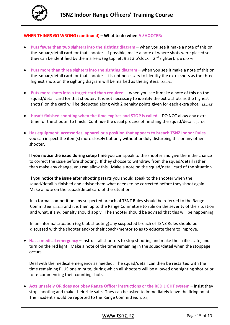

#### **WHEN THINGS GO WRONG (continued) – What to do when A SHOOTER:**

- **Puts fewer than two sighters into the sighting diagram** when you see it make a note of this on the squad/detail card for that shooter. If possible, make a note of where shots were placed so they can be identified by the markers (eg top left 9 at 3 o'clock =  $2^{nd}$  sighter). (2.8.1.9.2 iv)
- **Puts more than three sighters into the sighting diagram** when you see it make a note of this on the squad/detail card for that shooter. It is not necessary to identify the extra shots as the three highest shots on the sighting diagram will be marked as the sighters. (2.8.1.9.2)
- **Puts more shots into a target card than required** when you see it make a note of this on the squad/detail card for that shooter. It is not necessary to identify the extra shots as the highest shot(s) on the card will be deducted along with 2 penalty points given for each extra shot. (2.8.1.9.3)
- **Hasn't finished shooting when the time expires and STOP is called** DO NOT allow any extra time for the shooter to finish. Continue the usual process of finishing the squad/detail. (2.11.8)
- **Has equipment, accessories, apparel or a position that appears to breach TSNZ Indoor Rules** you can inspect the item(s) more closely but only without unduly disturbing this or any other shooter.

**If you notice the issue during setup time** you can speak to the shooter and give them the chance to correct the issue before shooting. If they choose to withdraw from the squad/detail rather than make any change, you can allow this. Make a note on the squad/detail card of the situation.

**If you notice the issue after shooting starts** you should speak to the shooter when the squad/detail is finished and advise them what needs to be corrected before they shoot again. Make a note on the squad/detail card of the situation.

In a formal competition any suspected breach of TSNZ Rules should be referred to the Range Committee (2.11.1), and it is then up to the Range Committee to rule on the severity of the situation and what, if any, penalty should apply. The shooter should be advised that this will be happening.

In an informal situation (eg Club shooting) any suspected breach of TSNZ Rules should be discussed with the shooter and/or their coach/mentor so as to educate them to improve.

• **Has a medical emergency** – instruct all shooters to stop shooting and make their rifles safe, and turn on the red light. Make a note of the time remaining in the squad/detail when the stoppage occurs.

Deal with the medical emergency as needed. The squad/detail can then be restarted with the time remaining PLUS one minute, during which all shooters will be allowed one sighting shot prior to re-commencing their counting shots.

• Acts unsafely OR does not obey Range Officer instructions or the RED LIGHT system – insist they stop shooting and make their rifle safe. They can be asked to immediately leave the firing point. The incident should be reported to the Range Committee. (2.2.4)

# [www.tsnz.nz](http://www.tsnz.nz/) Page 15 of 19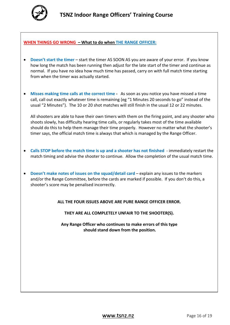

#### **WHEN THINGS GO WRONG – What to do when THE RANGE OFFICER:**

- **Doesn't start the timer**  start the timer AS SOON AS you are aware of your error. If you know how long the match has been running then adjust for the late start of the timer and continue as normal. If you have no idea how much time has passed, carry on with full match time starting from when the timer was actually started.
- **Misses making time calls at the correct time** As soon as you notice you have missed a time call, call out exactly whatever time is remaining (eg "1 Minutes 20 seconds to go" instead of the usual "2 Minutes"). The 10 or 20 shot matches will still finish in the usual 12 or 22 minutes.

All shooters are able to have their own timers with them on the firing point, and any shooter who shoots slowly, has difficulty hearing time calls, or regularly takes most of the time available should do this to help them manage their time properly. However no matter what the shooter's timer says, the official match time is always that which is managed by the Range Officer.

- **Calls STOP before the match time is up and a shooter has not finished**  immediately restart the match timing and advise the shooter to continue. Allow the completion of the usual match time.
- **Doesn't make notes of issues on the squad/detail card** explain any issues to the markers and/or the Range Committee, before the cards are marked if possible. If you don't do this, a shooter's score may be penalised incorrectly.

**ALL THE FOUR ISSUES ABOVE ARE PURE RANGE OFFICER ERROR.**

**THEY ARE ALL COMPLETELY UNFAIR TO THE SHOOTER(S).** 

**Any Range Officer who continues to make errors of this type should stand down from the position.**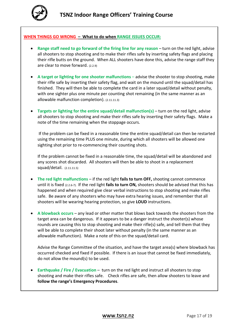

#### **WHEN THINGS GO WRONG – What to do when RANGE ISSUES OCCUR:**

- **Range staff need to go forward of the firing line for any reason** turn on the red light, advise all shooters to stop shooting and to make their rifles safe by inserting safety flags and placing their rifle butts on the ground. When ALL shooters have done this, advise the range staff they are clear to move forward. (2.2.9)
- A target or lighting for one shooter malfunctions advise the shooter to stop shooting, make their rifle safe by inserting their safety flag, and wait on the mound until the squad/detail has finished. They will then be able to complete the card in a later squad/detail without penalty, with one sighter plus one minute per counting shot remaining (in the same manner as an allowable malfunction completion). (2.11.11.3)
- **Targets or lighting for the entire squad/detail malfunction(s)** turn on the red light, advise all shooters to stop shooting and make their rifles safe by inserting their safety flags. Make a note of the time remaining when the stoppage occurs.

If the problem can be fixed in a reasonable time the entire squad/detail can then be restarted using the remaining time PLUS one minute, during which all shooters will be allowed one sighting shot prior to re-commencing their counting shots.

If the problem cannot be fixed in a reasonable time, the squad/detail will be abandoned and any scores shot discarded. All shooters will then be able to shoot in a replacement squad/detail. (2.11.11.5)

- **The red light malfunctions** if the red light **fails to turn OFF,** shooting cannot commence until it is fixed (2.2.6-7). If the red light **fails to turn ON,** shooters should be advised that this has happened and when required give clear verbal instructions to stop shooting and make rifles safe. Be aware of any shooters who may have extra hearing issues, and remember that all shooters will be wearing hearing protection, so give **LOUD** instructions.
- **A blowback occurs**  any lead or other matter that blows back towards the shooters from the target area can be dangerous. If it appears to be a danger instruct the shooter(s) whose rounds are causing this to stop shooting and make their rifle(s) safe, and tell them that they will be able to complete their shoot later without penalty (in the same manner as an allowable malfunction). Make a note of this on the squad/detail card.

Advise the Range Committee of the situation, and have the target area(s) where blowback has occurred checked and fixed if possible. If there is an issue that cannot be fixed immediately, do not allow the mound(s) to be used.

• **Earthquake / Fire / Evacuation** – turn on the red light and instruct all shooters to stop shooting and make their rifles safe. Check rifles are safe, then allow shooters to leave and **follow the range's Emergency Procedures**.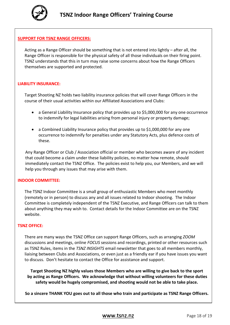

# **SUPPORT FOR TSNZ RANGE OFFICERS:**

Acting as a Range Officer should be something that is not entered into lightly – after all, the Range Officer is responsible for the physical safety of all those individuals on their firing point. TSNZ understands that this in turn may raise some concerns about how the Range Officers themselves are supported and protected.

#### **LIABILITY INSURANCE:**

Target Shooting NZ holds two liability insurance policies that will cover Range Officers in the course of their usual activities within our Affiliated Associations and Clubs:

- a General Liability Insurance policy that provides up to \$5,000,000 for any one occurrence to indemnify for legal liabilities arising from personal injury or property damage;
- a Combined Liability Insurance policy that provides up to \$1,000,000 for any one occurrence to indemnify for penalties under any Statutory Acts, plus defence costs of these.

Any Range Officer or Club / Association official or member who becomes aware of any incident that could become a claim under these liability policies, no matter how remote, should immediately contact the TSNZ Office. The policies exist to help you, our Members, and we will help you through any issues that may arise with them.

#### **INDOOR COMMITTEE:**

The TSNZ Indoor Committee is a small group of enthusiastic Members who meet monthly (remotely or in person) to discuss any and all issues related to Indoor shooting. The Indoor Committee is completely independent of the TSNZ Executive, and Range Officers can talk to them about anything they may wish to. Contact details for the Indoor Committee are on the TSNZ website.

#### **TSNZ OFFICE:**

There are many ways the TSNZ Office can support Range Officers, such as arranging *ZOOM* discussions and meetings, online *FOCUS* sessions and recordings, printed or other resources such as TSNZ Rules, items in the *TSNZ INSIGHTS* email newsletter that goes to all members monthly, liaising between Clubs and Associations, or even just as a friendly ear if you have issues you want to discuss. Don't hesitate to contact the Office for assistance and support.

**Target Shooting NZ highly values those Members who are willing to give back to the sport by acting as Range Officers. We acknowledge that without willing volunteers for these duties safety would be hugely compromised, and shooting would not be able to take place.** 

**So a sincere THANK YOU goes out to all those who train and participate as TSNZ Range Officers.**